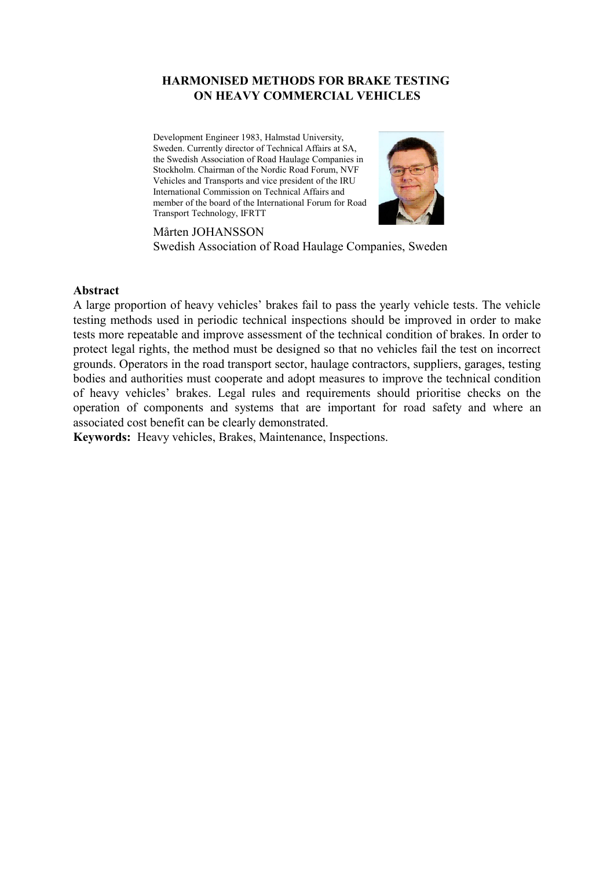### **HARMONISED METHODS FOR BRAKE TESTING ON HEAVY COMMERCIAL VEHICLES**

Development Engineer 1983, Halmstad University, Sweden. Currently director of Technical Affairs at SA, the Swedish Association of Road Haulage Companies in Stockholm. Chairman of the Nordic Road Forum, NVF Vehicles and Transports and vice president of the IRU International Commission on Technical Affairs and member of the board of the International Forum for Road Transport Technology, IFRTT



Mårten JOHANSSON Swedish Association of Road Haulage Companies, Sweden

### **Abstract**

A large proportion of heavy vehicles' brakes fail to pass the yearly vehicle tests. The vehicle testing methods used in periodic technical inspections should be improved in order to make tests more repeatable and improve assessment of the technical condition of brakes. In order to protect legal rights, the method must be designed so that no vehicles fail the test on incorrect grounds. Operators in the road transport sector, haulage contractors, suppliers, garages, testing bodies and authorities must cooperate and adopt measures to improve the technical condition of heavy vehicles' brakes. Legal rules and requirements should prioritise checks on the operation of components and systems that are important for road safety and where an associated cost benefit can be clearly demonstrated.

**Keywords:** Heavy vehicles, Brakes, Maintenance, Inspections.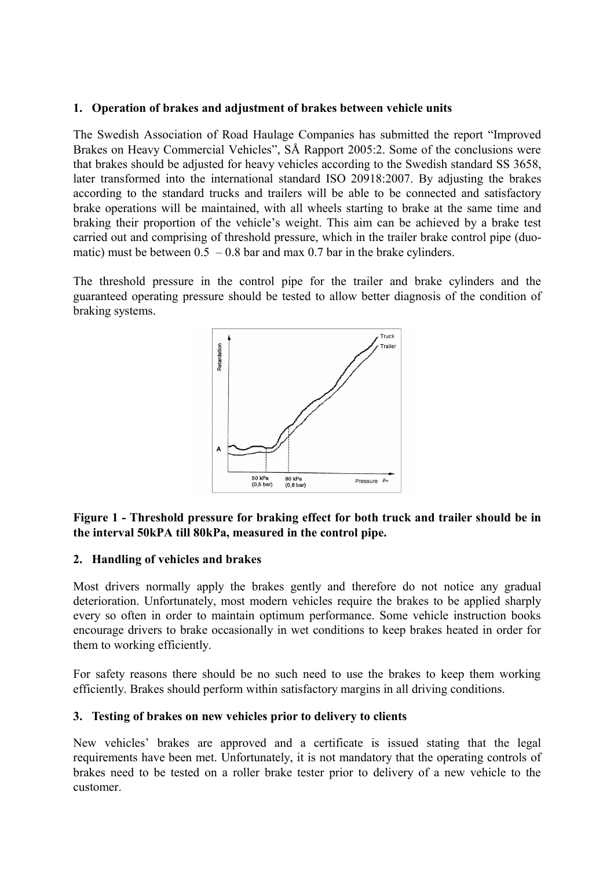### **1. Operation of brakes and adjustment of brakes between vehicle units**

The Swedish Association of Road Haulage Companies has submitted the report "Improved Brakes on Heavy Commercial Vehicles", SÅ Rapport 2005:2. Some of the conclusions were that brakes should be adjusted for heavy vehicles according to the Swedish standard SS 3658, later transformed into the international standard ISO 20918:2007. By adjusting the brakes according to the standard trucks and trailers will be able to be connected and satisfactory brake operations will be maintained, with all wheels starting to brake at the same time and braking their proportion of the vehicle's weight. This aim can be achieved by a brake test carried out and comprising of threshold pressure, which in the trailer brake control pipe (duomatic) must be between  $0.5 - 0.8$  bar and max 0.7 bar in the brake cylinders.

The threshold pressure in the control pipe for the trailer and brake cylinders and the guaranteed operating pressure should be tested to allow better diagnosis of the condition of braking systems.



## **Figure 1 - Threshold pressure for braking effect for both truck and trailer should be in the interval 50kPA till 80kPa, measured in the control pipe.**

### **2. Handling of vehicles and brakes**

Most drivers normally apply the brakes gently and therefore do not notice any gradual deterioration. Unfortunately, most modern vehicles require the brakes to be applied sharply every so often in order to maintain optimum performance. Some vehicle instruction books encourage drivers to brake occasionally in wet conditions to keep brakes heated in order for them to working efficiently.

For safety reasons there should be no such need to use the brakes to keep them working efficiently. Brakes should perform within satisfactory margins in all driving conditions.

## **3. Testing of brakes on new vehicles prior to delivery to clients**

New vehicles' brakes are approved and a certificate is issued stating that the legal requirements have been met. Unfortunately, it is not mandatory that the operating controls of brakes need to be tested on a roller brake tester prior to delivery of a new vehicle to the customer.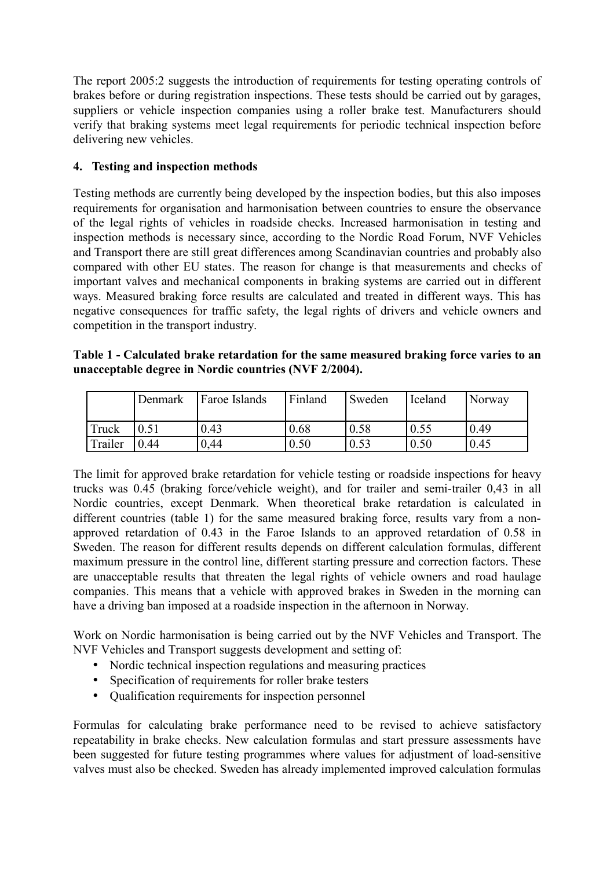The report 2005:2 suggests the introduction of requirements for testing operating controls of brakes before or during registration inspections. These tests should be carried out by garages, suppliers or vehicle inspection companies using a roller brake test. Manufacturers should verify that braking systems meet legal requirements for periodic technical inspection before delivering new vehicles.

# **4. Testing and inspection methods**

Testing methods are currently being developed by the inspection bodies, but this also imposes requirements for organisation and harmonisation between countries to ensure the observance of the legal rights of vehicles in roadside checks. Increased harmonisation in testing and inspection methods is necessary since, according to the Nordic Road Forum, NVF Vehicles and Transport there are still great differences among Scandinavian countries and probably also compared with other EU states. The reason for change is that measurements and checks of important valves and mechanical components in braking systems are carried out in different ways. Measured braking force results are calculated and treated in different ways. This has negative consequences for traffic safety, the legal rights of drivers and vehicle owners and competition in the transport industry.

| Table 1 - Calculated brake retardation for the same measured braking force varies to an |  |  |  |
|-----------------------------------------------------------------------------------------|--|--|--|
| unacceptable degree in Nordic countries (NVF 2/2004).                                   |  |  |  |

|              | Denmark | <b>Faroe Islands</b> | Finland | <b>Sweden</b> | <b>I</b> celand | Norway |
|--------------|---------|----------------------|---------|---------------|-----------------|--------|
| <b>Truck</b> |         | 0.43                 | 0.68    | 0.58          | 0.55            | 0.49   |
| Trailer      | 10.44   | 0,44                 | 0.50    | 0.53          | 0.50            | 0.45   |

The limit for approved brake retardation for vehicle testing or roadside inspections for heavy trucks was 0.45 (braking force/vehicle weight), and for trailer and semi-trailer 0,43 in all Nordic countries, except Denmark. When theoretical brake retardation is calculated in different countries (table 1) for the same measured braking force, results vary from a nonapproved retardation of 0.43 in the Faroe Islands to an approved retardation of 0.58 in Sweden. The reason for different results depends on different calculation formulas, different maximum pressure in the control line, different starting pressure and correction factors. These are unacceptable results that threaten the legal rights of vehicle owners and road haulage companies. This means that a vehicle with approved brakes in Sweden in the morning can have a driving ban imposed at a roadside inspection in the afternoon in Norway.

Work on Nordic harmonisation is being carried out by the NVF Vehicles and Transport. The NVF Vehicles and Transport suggests development and setting of:

- Nordic technical inspection regulations and measuring practices
- Specification of requirements for roller brake testers
- Qualification requirements for inspection personnel

Formulas for calculating brake performance need to be revised to achieve satisfactory repeatability in brake checks. New calculation formulas and start pressure assessments have been suggested for future testing programmes where values for adjustment of load-sensitive valves must also be checked. Sweden has already implemented improved calculation formulas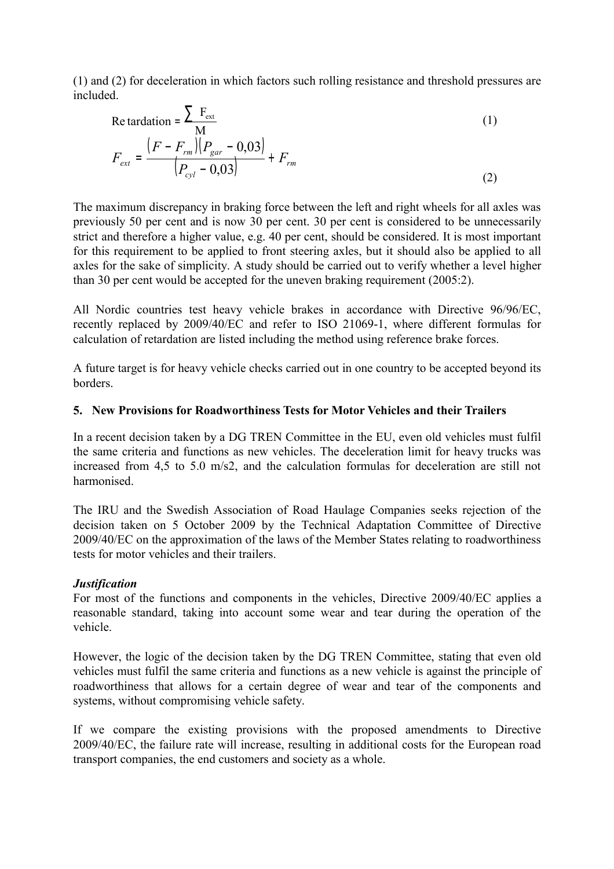(1) and (2) for deceleration in which factors such rolling resistance and threshold pressures are included.

Re tardation = 
$$
\frac{\sum F_{ext}}{M}
$$
  
\n
$$
F_{ext} = \frac{(F - F_{rm})(P_{gar} - 0.03)}{(P_{cyl} - 0.03)} + F_{rm}
$$
\n(1)

The maximum discrepancy in braking force between the left and right wheels for all axles was previously 50 per cent and is now 30 per cent. 30 per cent is considered to be unnecessarily strict and therefore a higher value, e.g. 40 per cent, should be considered. It is most important for this requirement to be applied to front steering axles, but it should also be applied to all axles for the sake of simplicity. A study should be carried out to verify whether a level higher than 30 per cent would be accepted for the uneven braking requirement (2005:2).

All Nordic countries test heavy vehicle brakes in accordance with Directive 96/96/EC, recently replaced by 2009/40/EC and refer to ISO 21069-1, where different formulas for calculation of retardation are listed including the method using reference brake forces.

A future target is for heavy vehicle checks carried out in one country to be accepted beyond its borders.

### **5. New Provisions for Roadworthiness Tests for Motor Vehicles and their Trailers**

In a recent decision taken by a DG TREN Committee in the EU, even old vehicles must fulfil the same criteria and functions as new vehicles. The deceleration limit for heavy trucks was increased from 4,5 to 5.0 m/s2, and the calculation formulas for deceleration are still not harmonised.

The IRU and the Swedish Association of Road Haulage Companies seeks rejection of the decision taken on 5 October 2009 by the Technical Adaptation Committee of Directive 2009/40/EC on the approximation of the laws of the Member States relating to roadworthiness tests for motor vehicles and their trailers.

### *Justification*

For most of the functions and components in the vehicles, Directive 2009/40/EC applies a reasonable standard, taking into account some wear and tear during the operation of the vehicle.

However, the logic of the decision taken by the DG TREN Committee, stating that even old vehicles must fulfil the same criteria and functions as a new vehicle is against the principle of roadworthiness that allows for a certain degree of wear and tear of the components and systems, without compromising vehicle safety.

If we compare the existing provisions with the proposed amendments to Directive 2009/40/EC, the failure rate will increase, resulting in additional costs for the European road transport companies, the end customers and society as a whole.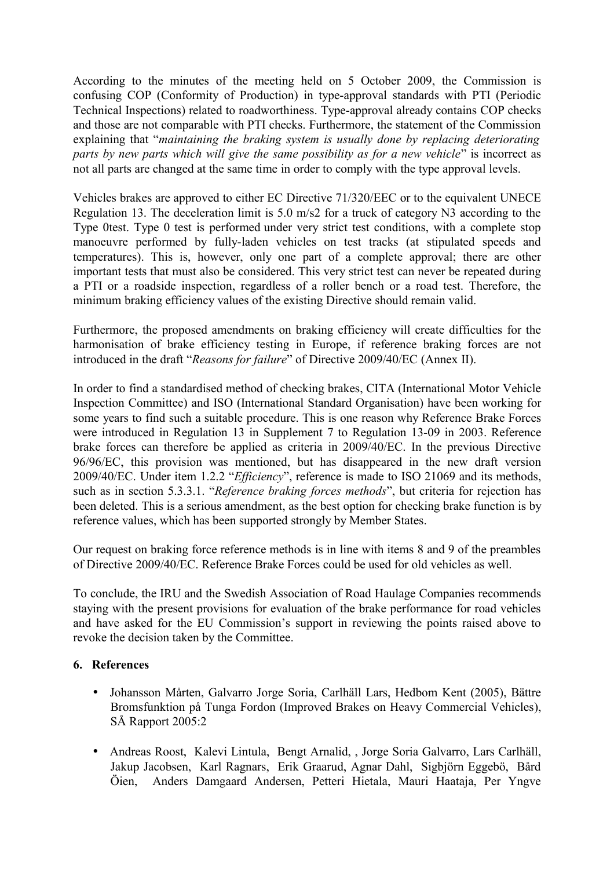According to the minutes of the meeting held on 5 October 2009, the Commission is confusing COP (Conformity of Production) in type-approval standards with PTI (Periodic Technical Inspections) related to roadworthiness. Type-approval already contains COP checks and those are not comparable with PTI checks. Furthermore, the statement of the Commission explaining that "*maintaining the braking system is usually done by replacing deteriorating parts by new parts which will give the same possibility as for a new vehicle*" is incorrect as not all parts are changed at the same time in order to comply with the type approval levels.

Vehicles brakes are approved to either EC Directive 71/320/EEC or to the equivalent UNECE Regulation 13. The deceleration limit is 5.0 m/s2 for a truck of category N3 according to the Type 0test. Type 0 test is performed under very strict test conditions, with a complete stop manoeuvre performed by fully-laden vehicles on test tracks (at stipulated speeds and temperatures). This is, however, only one part of a complete approval; there are other important tests that must also be considered. This very strict test can never be repeated during a PTI or a roadside inspection, regardless of a roller bench or a road test. Therefore, the minimum braking efficiency values of the existing Directive should remain valid.

Furthermore, the proposed amendments on braking efficiency will create difficulties for the harmonisation of brake efficiency testing in Europe, if reference braking forces are not introduced in the draft "*Reasons for failure*" of Directive 2009/40/EC (Annex II).

In order to find a standardised method of checking brakes, CITA (International Motor Vehicle Inspection Committee) and ISO (International Standard Organisation) have been working for some years to find such a suitable procedure. This is one reason why Reference Brake Forces were introduced in Regulation 13 in Supplement 7 to Regulation 13-09 in 2003. Reference brake forces can therefore be applied as criteria in 2009/40/EC. In the previous Directive 96/96/EC, this provision was mentioned, but has disappeared in the new draft version 2009/40/EC. Under item 1.2.2 "*Efficiency*", reference is made to ISO 21069 and its methods, such as in section 5.3.3.1. "*Reference braking forces methods*", but criteria for rejection has been deleted. This is a serious amendment, as the best option for checking brake function is by reference values, which has been supported strongly by Member States.

Our request on braking force reference methods is in line with items 8 and 9 of the preambles of Directive 2009/40/EC. Reference Brake Forces could be used for old vehicles as well.

To conclude, the IRU and the Swedish Association of Road Haulage Companies recommends staying with the present provisions for evaluation of the brake performance for road vehicles and have asked for the EU Commission's support in reviewing the points raised above to revoke the decision taken by the Committee.

## **6. References**

- Johansson Mårten, Galvarro Jorge Soria, Carlhäll Lars, Hedbom Kent (2005), Bättre Bromsfunktion på Tunga Fordon (Improved Brakes on Heavy Commercial Vehicles), SÅ Rapport 2005:2
- Andreas Roost, Kalevi Lintula, Bengt Arnalid, , Jorge Soria Galvarro, Lars Carlhäll, Jakup Jacobsen, Karl Ragnars, Erik Graarud, Agnar Dahl, Sigbjörn Eggebö, Bård Öien, Anders Damgaard Andersen, Petteri Hietala, Mauri Haataja, Per Yngve